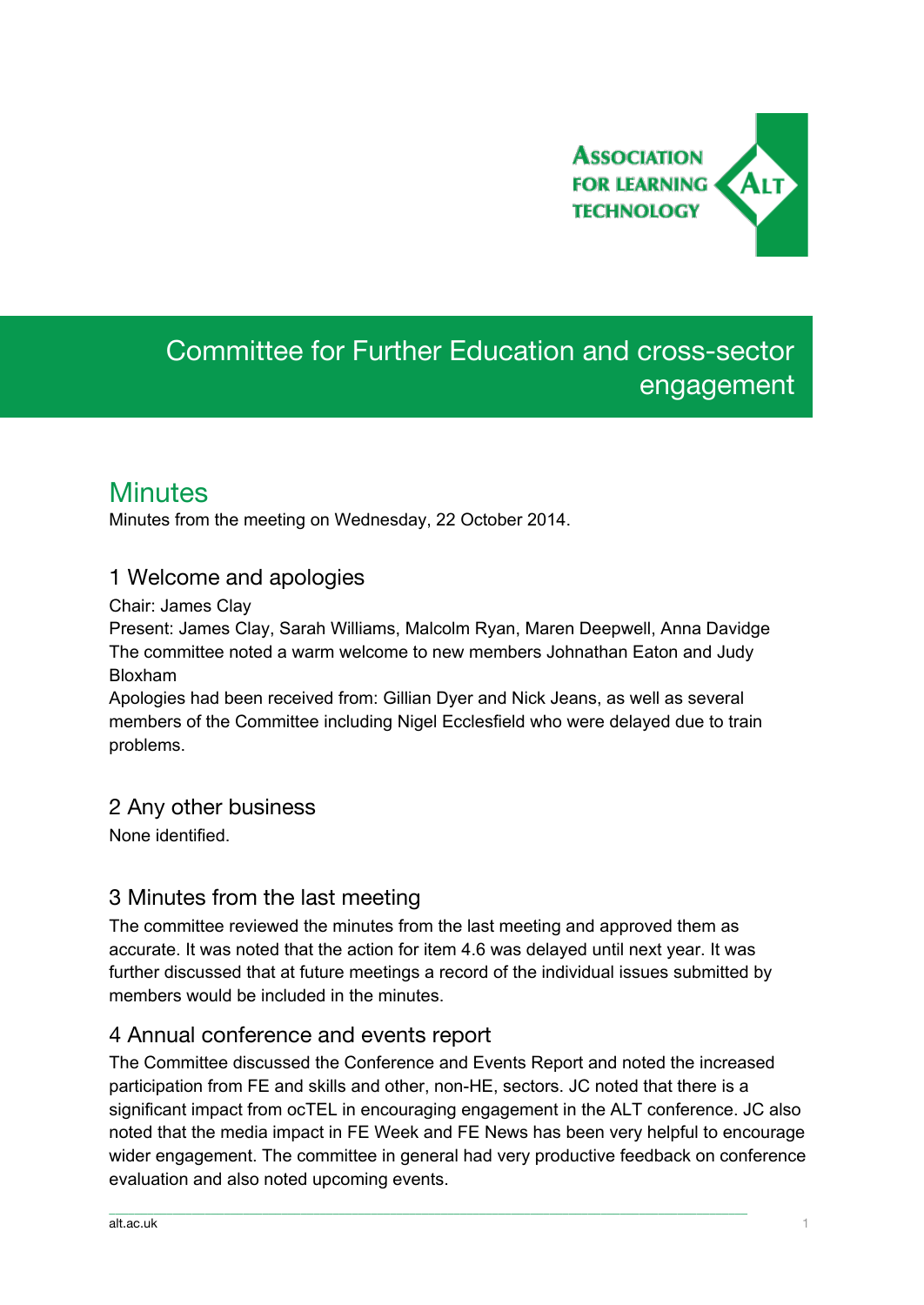

# Committee for Further Education and cross-sector engagement

# **Minutes**

Minutes from the meeting on Wednesday, 22 October 2014.

### 1 Welcome and apologies

Chair: James Clay

Present: James Clay, Sarah Williams, Malcolm Ryan, Maren Deepwell, Anna Davidge The committee noted a warm welcome to new members Johnathan Eaton and Judy Bloxham

Apologies had been received from: Gillian Dyer and Nick Jeans, as well as several members of the Committee including Nigel Ecclesfield who were delayed due to train problems.

### 2 Any other business

None identified.

# 3 Minutes from the last meeting

The committee reviewed the minutes from the last meeting and approved them as accurate. It was noted that the action for item 4.6 was delayed until next year. It was further discussed that at future meetings a record of the individual issues submitted by members would be included in the minutes.

### 4 Annual conference and events report

The Committee discussed the Conference and Events Report and noted the increased participation from FE and skills and other, non-HE, sectors. JC noted that there is a significant impact from ocTEL in encouraging engagement in the ALT conference. JC also noted that the media impact in FE Week and FE News has been very helpful to encourage wider engagement. The committee in general had very productive feedback on conference evaluation and also noted upcoming events.

\_\_\_\_\_\_\_\_\_\_\_\_\_\_\_\_\_\_\_\_\_\_\_\_\_\_\_\_\_\_\_\_\_\_\_\_\_\_\_\_\_\_\_\_\_\_\_\_\_\_\_\_\_\_\_\_\_\_\_\_\_\_\_\_\_\_\_\_\_\_\_\_\_\_\_\_\_\_\_\_\_\_\_\_\_\_\_\_\_\_\_\_\_\_\_\_\_\_\_\_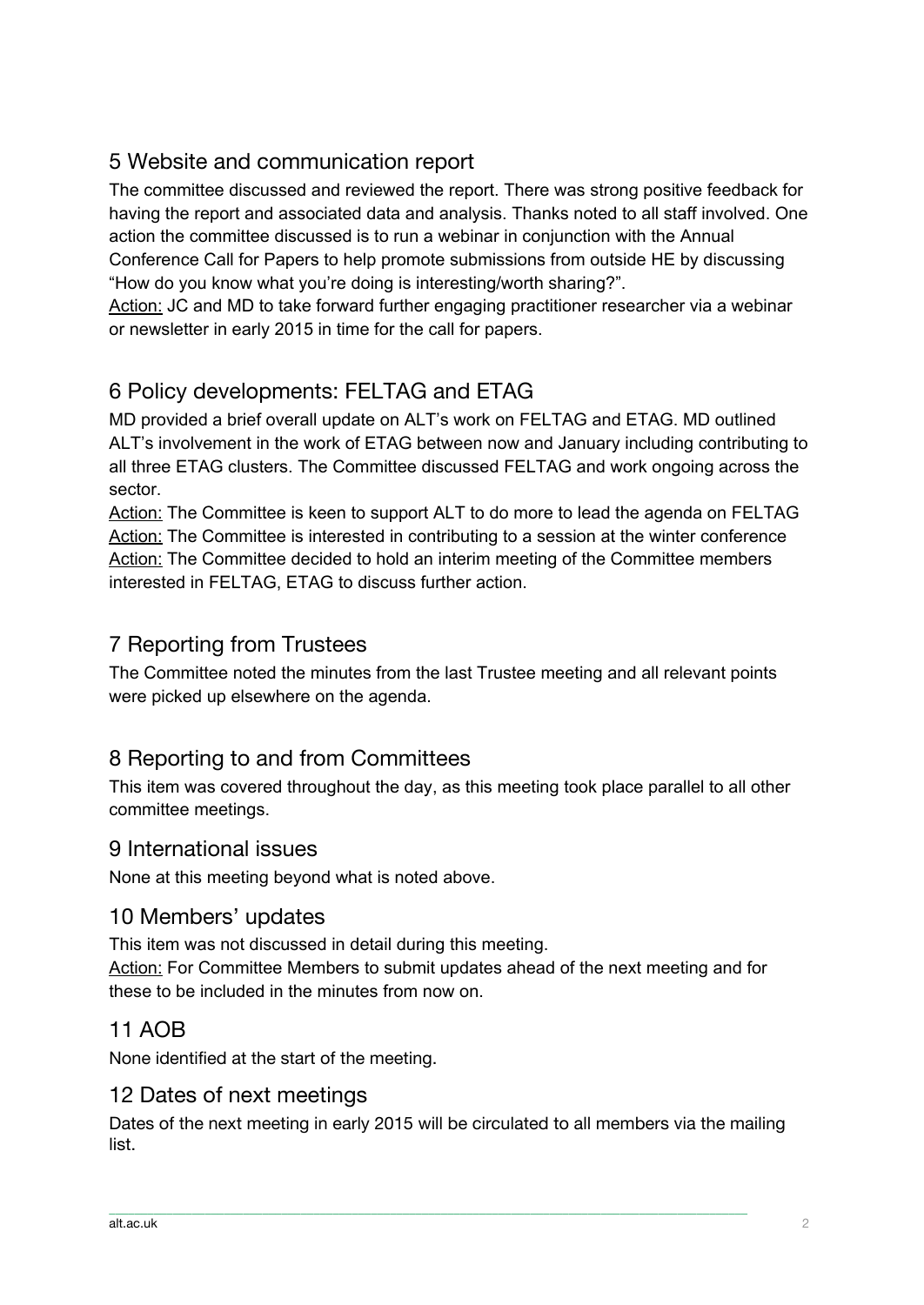# 5 Website and communication report

The committee discussed and reviewed the report. There was strong positive feedback for having the report and associated data and analysis. Thanks noted to all staff involved. One action the committee discussed is to run a webinar in conjunction with the Annual Conference Call for Papers to help promote submissions from outside HE by discussing "How do you know what you're doing is interesting/worth sharing?".

Action: JC and MD to take forward further engaging practitioner researcher via a webinar or newsletter in early 2015 in time for the call for papers.

# 6 Policy developments: FELTAG and ETAG

MD provided a brief overall update on ALT's work on FELTAG and ETAG. MD outlined ALT's involvement in the work of ETAG between now and January including contributing to all three ETAG clusters. The Committee discussed FELTAG and work ongoing across the sector.

Action: The Committee is keen to support ALT to do more to lead the agenda on FELTAG Action: The Committee is interested in contributing to a session at the winter conference Action: The Committee decided to hold an interim meeting of the Committee members interested in FELTAG, ETAG to discuss further action.

# 7 Reporting from Trustees

The Committee noted the minutes from the last Trustee meeting and all relevant points were picked up elsewhere on the agenda.

# 8 Reporting to and from Committees

This item was covered throughout the day, as this meeting took place parallel to all other committee meetings.

#### 9 International issues

None at this meeting beyond what is noted above.

### 10 Members' updates

This item was not discussed in detail during this meeting. Action: For Committee Members to submit updates ahead of the next meeting and for these to be included in the minutes from now on.

# 11 AOB

None identified at the start of the meeting.

# 12 Dates of next meetings

Dates of the next meeting in early 2015 will be circulated to all members via the mailing list.

 $\_$  , and the set of the set of the set of the set of the set of the set of the set of the set of the set of the set of the set of the set of the set of the set of the set of the set of the set of the set of the set of th